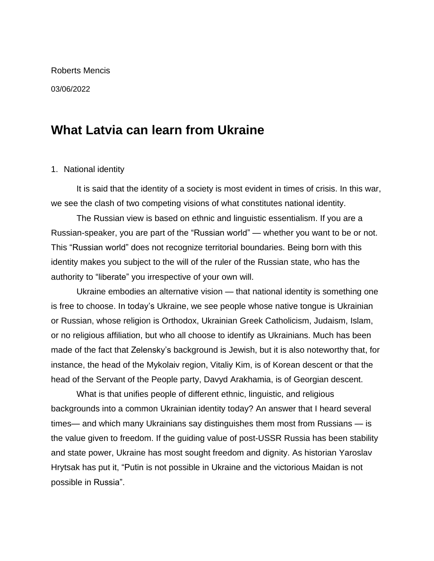# Roberts Mencis

### 03/06/2022

# **What Latvia can learn from Ukraine**

## 1. National identity

It is said that the identity of a society is most evident in times of crisis. In this war, we see the clash of two competing visions of what constitutes national identity.

The Russian view is based on ethnic and linguistic essentialism. If you are a Russian-speaker, you are part of the "Russian world" — whether you want to be or not. This "Russian world" does not recognize territorial boundaries. Being born with this identity makes you subject to the will of the ruler of the Russian state, who has the authority to "liberate" you irrespective of your own will.

Ukraine embodies an alternative vision — that national identity is something one is free to choose. In today's Ukraine, we see people whose native tongue is Ukrainian or Russian, whose religion is Orthodox, Ukrainian Greek Catholicism, Judaism, Islam, or no religious affiliation, but who all choose to identify as Ukrainians. Much has been made of the fact that Zelensky's background is Jewish, but it is also noteworthy that, for instance, the head of the Mykolaiv region, Vitaliy Kim, is of Korean descent or that the head of the Servant of the People party, Davyd Arakhamia, is of Georgian descent.

What is that unifies people of different ethnic, linguistic, and religious backgrounds into a common Ukrainian identity today? An answer that I heard several times— and which many Ukrainians say distinguishes them most from Russians — is the value given to freedom. If the guiding value of post-USSR Russia has been stability and state power, Ukraine has most sought freedom and dignity. As historian Yaroslav Hrytsak has put it, "Putin is not possible in Ukraine and the victorious Maidan is not possible in Russia".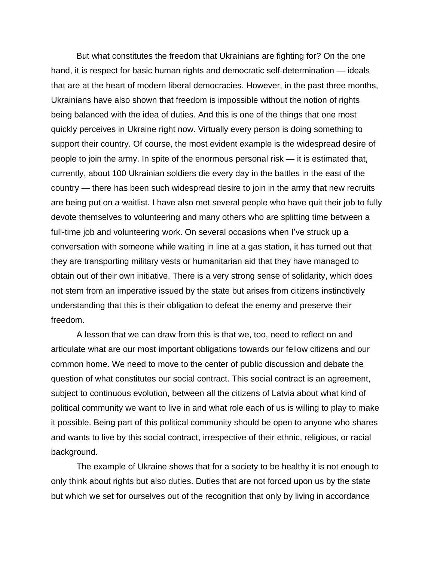But what constitutes the freedom that Ukrainians are fighting for? On the one hand, it is respect for basic human rights and democratic self-determination — ideals that are at the heart of modern liberal democracies. However, in the past three months, Ukrainians have also shown that freedom is impossible without the notion of rights being balanced with the idea of duties. And this is one of the things that one most quickly perceives in Ukraine right now. Virtually every person is doing something to support their country. Of course, the most evident example is the widespread desire of people to join the army. In spite of the enormous personal risk — it is estimated that, currently, about 100 Ukrainian soldiers die every day in the battles in the east of the country — there has been such widespread desire to join in the army that new recruits are being put on a waitlist. I have also met several people who have quit their job to fully devote themselves to volunteering and many others who are splitting time between a full-time job and volunteering work. On several occasions when I've struck up a conversation with someone while waiting in line at a gas station, it has turned out that they are transporting military vests or humanitarian aid that they have managed to obtain out of their own initiative. There is a very strong sense of solidarity, which does not stem from an imperative issued by the state but arises from citizens instinctively understanding that this is their obligation to defeat the enemy and preserve their freedom.

A lesson that we can draw from this is that we, too, need to reflect on and articulate what are our most important obligations towards our fellow citizens and our common home. We need to move to the center of public discussion and debate the question of what constitutes our social contract. This social contract is an agreement, subject to continuous evolution, between all the citizens of Latvia about what kind of political community we want to live in and what role each of us is willing to play to make it possible. Being part of this political community should be open to anyone who shares and wants to live by this social contract, irrespective of their ethnic, religious, or racial background.

The example of Ukraine shows that for a society to be healthy it is not enough to only think about rights but also duties. Duties that are not forced upon us by the state but which we set for ourselves out of the recognition that only by living in accordance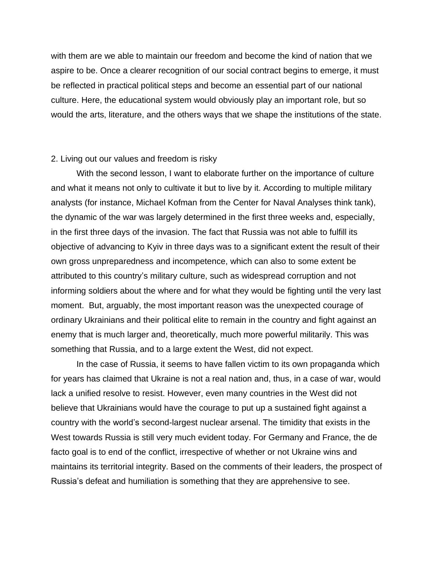with them are we able to maintain our freedom and become the kind of nation that we aspire to be. Once a clearer recognition of our social contract begins to emerge, it must be reflected in practical political steps and become an essential part of our national culture. Here, the educational system would obviously play an important role, but so would the arts, literature, and the others ways that we shape the institutions of the state.

#### 2. Living out our values and freedom is risky

With the second lesson, I want to elaborate further on the importance of culture and what it means not only to cultivate it but to live by it. According to multiple military analysts (for instance, Michael Kofman from the Center for Naval Analyses think tank), the dynamic of the war was largely determined in the first three weeks and, especially, in the first three days of the invasion. The fact that Russia was not able to fulfill its objective of advancing to Kyiv in three days was to a significant extent the result of their own gross unpreparedness and incompetence, which can also to some extent be attributed to this country's military culture, such as widespread corruption and not informing soldiers about the where and for what they would be fighting until the very last moment. But, arguably, the most important reason was the unexpected courage of ordinary Ukrainians and their political elite to remain in the country and fight against an enemy that is much larger and, theoretically, much more powerful militarily. This was something that Russia, and to a large extent the West, did not expect.

In the case of Russia, it seems to have fallen victim to its own propaganda which for years has claimed that Ukraine is not a real nation and, thus, in a case of war, would lack a unified resolve to resist. However, even many countries in the West did not believe that Ukrainians would have the courage to put up a sustained fight against a country with the world's second-largest nuclear arsenal. The timidity that exists in the West towards Russia is still very much evident today. For Germany and France, the de facto goal is to end of the conflict, irrespective of whether or not Ukraine wins and maintains its territorial integrity. Based on the comments of their leaders, the prospect of Russia's defeat and humiliation is something that they are apprehensive to see.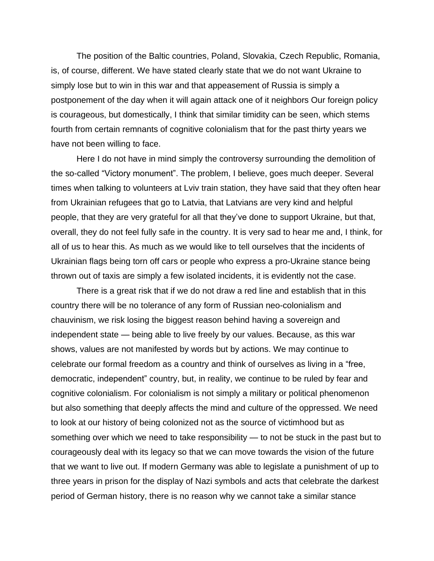The position of the Baltic countries, Poland, Slovakia, Czech Republic, Romania, is, of course, different. We have stated clearly state that we do not want Ukraine to simply lose but to win in this war and that appeasement of Russia is simply a postponement of the day when it will again attack one of it neighbors Our foreign policy is courageous, but domestically, I think that similar timidity can be seen, which stems fourth from certain remnants of cognitive colonialism that for the past thirty years we have not been willing to face.

Here I do not have in mind simply the controversy surrounding the demolition of the so-called "Victory monument". The problem, I believe, goes much deeper. Several times when talking to volunteers at Lviv train station, they have said that they often hear from Ukrainian refugees that go to Latvia, that Latvians are very kind and helpful people, that they are very grateful for all that they've done to support Ukraine, but that, overall, they do not feel fully safe in the country. It is very sad to hear me and, I think, for all of us to hear this. As much as we would like to tell ourselves that the incidents of Ukrainian flags being torn off cars or people who express a pro-Ukraine stance being thrown out of taxis are simply a few isolated incidents, it is evidently not the case.

There is a great risk that if we do not draw a red line and establish that in this country there will be no tolerance of any form of Russian neo-colonialism and chauvinism, we risk losing the biggest reason behind having a sovereign and independent state — being able to live freely by our values. Because, as this war shows, values are not manifested by words but by actions. We may continue to celebrate our formal freedom as a country and think of ourselves as living in a "free, democratic, independent" country, but, in reality, we continue to be ruled by fear and cognitive colonialism. For colonialism is not simply a military or political phenomenon but also something that deeply affects the mind and culture of the oppressed. We need to look at our history of being colonized not as the source of victimhood but as something over which we need to take responsibility — to not be stuck in the past but to courageously deal with its legacy so that we can move towards the vision of the future that we want to live out. If modern Germany was able to legislate a punishment of up to three years in prison for the display of Nazi symbols and acts that celebrate the darkest period of German history, there is no reason why we cannot take a similar stance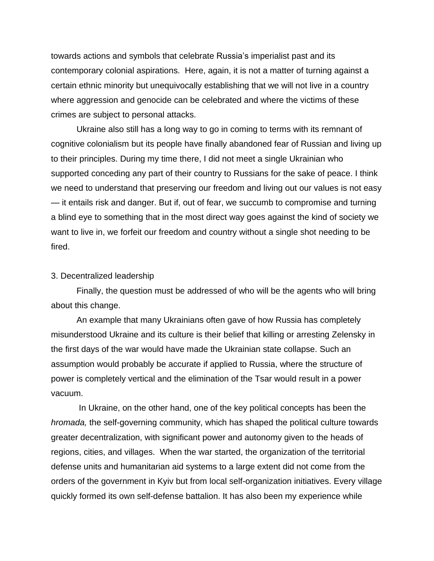towards actions and symbols that celebrate Russia's imperialist past and its contemporary colonial aspirations. Here, again, it is not a matter of turning against a certain ethnic minority but unequivocally establishing that we will not live in a country where aggression and genocide can be celebrated and where the victims of these crimes are subject to personal attacks.

Ukraine also still has a long way to go in coming to terms with its remnant of cognitive colonialism but its people have finally abandoned fear of Russian and living up to their principles. During my time there, I did not meet a single Ukrainian who supported conceding any part of their country to Russians for the sake of peace. I think we need to understand that preserving our freedom and living out our values is not easy — it entails risk and danger. But if, out of fear, we succumb to compromise and turning a blind eye to something that in the most direct way goes against the kind of society we want to live in, we forfeit our freedom and country without a single shot needing to be fired.

#### 3. Decentralized leadership

Finally, the question must be addressed of who will be the agents who will bring about this change.

An example that many Ukrainians often gave of how Russia has completely misunderstood Ukraine and its culture is their belief that killing or arresting Zelensky in the first days of the war would have made the Ukrainian state collapse. Such an assumption would probably be accurate if applied to Russia, where the structure of power is completely vertical and the elimination of the Tsar would result in a power vacuum.

In Ukraine, on the other hand, one of the key political concepts has been the *hromada,* the self-governing community, which has shaped the political culture towards greater decentralization, with significant power and autonomy given to the heads of regions, cities, and villages. When the war started, the organization of the territorial defense units and humanitarian aid systems to a large extent did not come from the orders of the government in Kyiv but from local self-organization initiatives. Every village quickly formed its own self-defense battalion. It has also been my experience while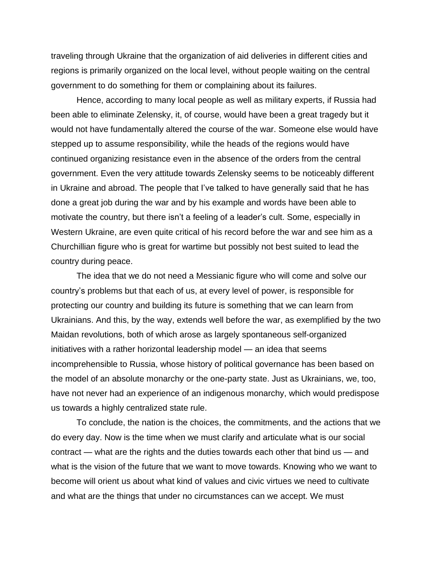traveling through Ukraine that the organization of aid deliveries in different cities and regions is primarily organized on the local level, without people waiting on the central government to do something for them or complaining about its failures.

Hence, according to many local people as well as military experts, if Russia had been able to eliminate Zelensky, it, of course, would have been a great tragedy but it would not have fundamentally altered the course of the war. Someone else would have stepped up to assume responsibility, while the heads of the regions would have continued organizing resistance even in the absence of the orders from the central government. Even the very attitude towards Zelensky seems to be noticeably different in Ukraine and abroad. The people that I've talked to have generally said that he has done a great job during the war and by his example and words have been able to motivate the country, but there isn't a feeling of a leader's cult. Some, especially in Western Ukraine, are even quite critical of his record before the war and see him as a Churchillian figure who is great for wartime but possibly not best suited to lead the country during peace.

The idea that we do not need a Messianic figure who will come and solve our country's problems but that each of us, at every level of power, is responsible for protecting our country and building its future is something that we can learn from Ukrainians. And this, by the way, extends well before the war, as exemplified by the two Maidan revolutions, both of which arose as largely spontaneous self-organized initiatives with a rather horizontal leadership model — an idea that seems incomprehensible to Russia, whose history of political governance has been based on the model of an absolute monarchy or the one-party state. Just as Ukrainians, we, too, have not never had an experience of an indigenous monarchy, which would predispose us towards a highly centralized state rule.

To conclude, the nation is the choices, the commitments, and the actions that we do every day. Now is the time when we must clarify and articulate what is our social contract — what are the rights and the duties towards each other that bind us — and what is the vision of the future that we want to move towards. Knowing who we want to become will orient us about what kind of values and civic virtues we need to cultivate and what are the things that under no circumstances can we accept. We must